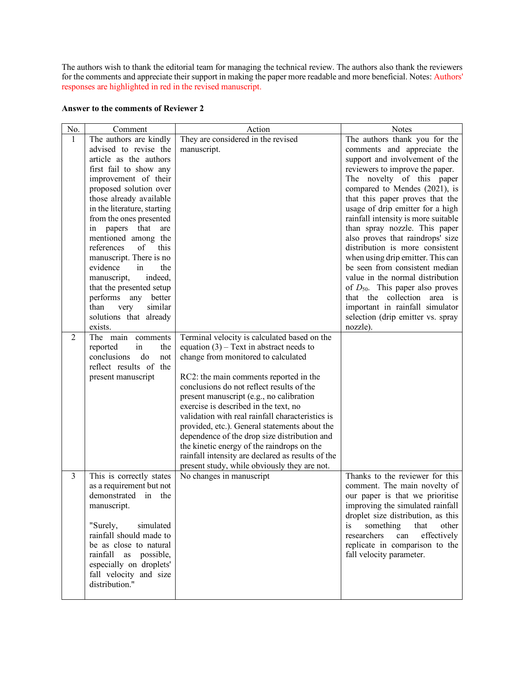The authors wish to thank the editorial team for managing the technical review. The authors also thank the reviewers for the comments and appreciate their support in making the paper more readable and more beneficial. Notes: Authors' responses are highlighted in red in the revised manuscript.

## **Answer to the comments of Reviewer 2**

| No.            | Comment                     | Action                                            | <b>Notes</b>                            |
|----------------|-----------------------------|---------------------------------------------------|-----------------------------------------|
| $\mathbf{1}$   | The authors are kindly      | They are considered in the revised                | The authors thank you for the           |
|                | advised to revise the       | manuscript.                                       | comments and appreciate the             |
|                | article as the authors      |                                                   | support and involvement of the          |
|                | first fail to show any      |                                                   | reviewers to improve the paper.         |
|                | improvement of their        |                                                   | The novelty of this paper               |
|                | proposed solution over      |                                                   | compared to Mendes (2021), is           |
|                | those already available     |                                                   | that this paper proves that the         |
|                | in the literature, starting |                                                   | usage of drip emitter for a high        |
|                | from the ones presented     |                                                   | rainfall intensity is more suitable     |
|                | in papers that<br>are       |                                                   | than spray nozzle. This paper           |
|                | mentioned among the         |                                                   | also proves that raindrops' size        |
|                | references<br>of<br>this    |                                                   | distribution is more consistent         |
|                | manuscript. There is no     |                                                   | when using drip emitter. This can       |
|                | evidence<br>the<br>in       |                                                   | be seen from consistent median          |
|                | manuscript,<br>indeed,      |                                                   | value in the normal distribution        |
|                | that the presented setup    |                                                   | of $D_{50}$ . This paper also proves    |
|                | performs<br>any<br>better   |                                                   | that the collection area is             |
|                | similar<br>than<br>very     |                                                   | important in rainfall simulator         |
|                | solutions that already      |                                                   | selection (drip emitter vs. spray       |
|                | exists.                     |                                                   | nozzle).                                |
| $\overline{2}$ | The main<br>comments        | Terminal velocity is calculated based on the      |                                         |
|                | in<br>reported<br>the       | equation $(3)$ – Text in abstract needs to        |                                         |
|                | conclusions<br>do<br>not    | change from monitored to calculated               |                                         |
|                | reflect results of the      |                                                   |                                         |
|                | present manuscript          | RC2: the main comments reported in the            |                                         |
|                |                             | conclusions do not reflect results of the         |                                         |
|                |                             | present manuscript (e.g., no calibration          |                                         |
|                |                             | exercise is described in the text, no             |                                         |
|                |                             | validation with real rainfall characteristics is  |                                         |
|                |                             | provided, etc.). General statements about the     |                                         |
|                |                             | dependence of the drop size distribution and      |                                         |
|                |                             | the kinetic energy of the raindrops on the        |                                         |
|                |                             | rainfall intensity are declared as results of the |                                         |
|                |                             | present study, while obviously they are not.      |                                         |
| 3              | This is correctly states    | No changes in manuscript                          | Thanks to the reviewer for this         |
|                | as a requirement but not    |                                                   | comment. The main novelty of            |
|                | demonstrated in the         |                                                   | our paper is that we prioritise         |
|                | manuscript.                 |                                                   | improving the simulated rainfall        |
|                |                             |                                                   | droplet size distribution, as this      |
|                | "Surely,<br>simulated       |                                                   | something<br><i>is</i><br>that<br>other |
|                | rainfall should made to     |                                                   | effectively<br>researchers<br>can       |
|                | be as close to natural      |                                                   | replicate in comparison to the          |
|                | rainfall<br>possible,<br>as |                                                   | fall velocity parameter.                |
|                | especially on droplets'     |                                                   |                                         |
|                | fall velocity and size      |                                                   |                                         |
|                | distribution."              |                                                   |                                         |
|                |                             |                                                   |                                         |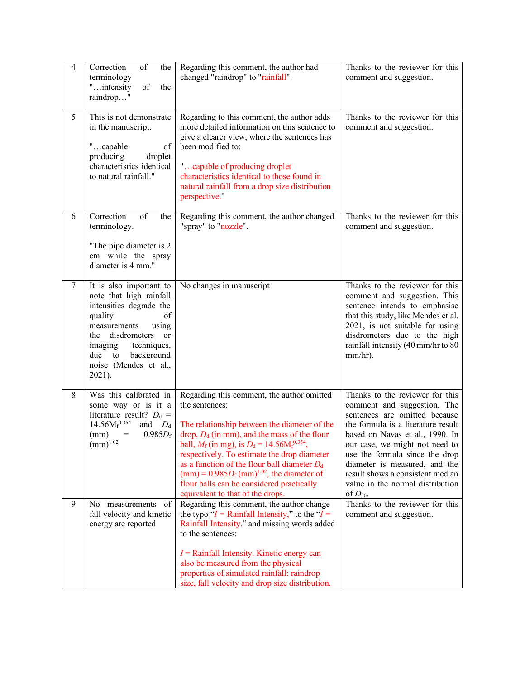| $\overline{4}$ | of<br>Correction<br>the<br>terminology<br>"intensity<br>of<br>the<br>raindrop"                                                                                                                                                                   | Regarding this comment, the author had<br>changed "raindrop" to "rainfall".                                                                                                                                                                                                                                                                                                                                                                                         | Thanks to the reviewer for this<br>comment and suggestion.                                                                                                                                                                                                                                                                                                             |
|----------------|--------------------------------------------------------------------------------------------------------------------------------------------------------------------------------------------------------------------------------------------------|---------------------------------------------------------------------------------------------------------------------------------------------------------------------------------------------------------------------------------------------------------------------------------------------------------------------------------------------------------------------------------------------------------------------------------------------------------------------|------------------------------------------------------------------------------------------------------------------------------------------------------------------------------------------------------------------------------------------------------------------------------------------------------------------------------------------------------------------------|
| 5              | This is not demonstrate<br>in the manuscript.<br>of<br>"capable<br>producing<br>droplet<br>characteristics identical<br>to natural rainfall."                                                                                                    | Regarding to this comment, the author adds<br>more detailed information on this sentence to<br>give a clearer view, where the sentences has<br>been modified to:<br>"capable of producing droplet<br>characteristics identical to those found in<br>natural rainfall from a drop size distribution<br>perspective."                                                                                                                                                 | Thanks to the reviewer for this<br>comment and suggestion.                                                                                                                                                                                                                                                                                                             |
| 6              | Correction<br>of<br>the<br>terminology.<br>"The pipe diameter is 2<br>cm while the spray<br>diameter is 4 mm."                                                                                                                                   | Regarding this comment, the author changed<br>"spray" to "nozzle".                                                                                                                                                                                                                                                                                                                                                                                                  | Thanks to the reviewer for this<br>comment and suggestion.                                                                                                                                                                                                                                                                                                             |
| $\overline{7}$ | It is also important to<br>note that high rainfall<br>intensities degrade the<br>quality<br>of<br>measurements<br>using<br>the disdrometers<br><b>or</b><br>techniques,<br>imaging<br>background<br>due<br>to<br>noise (Mendes et al.,<br>2021). | No changes in manuscript                                                                                                                                                                                                                                                                                                                                                                                                                                            | Thanks to the reviewer for this<br>comment and suggestion. This<br>sentence intends to emphasise<br>that this study, like Mendes et al.<br>2021, is not suitable for using<br>disdrometers due to the high<br>rainfall intensity (40 mm/hr to 80<br>mm/hr).                                                                                                            |
| 8              | Was this calibrated in<br>some way or is it a<br>literature result? $D_d =$<br>$14.56M_f^{0.354}$<br>and $D_d$<br>$0.985D_{f}$<br>(mm)<br>$=$<br>$(mm)^{1.02}$                                                                                   | Regarding this comment, the author omitted<br>the sentences:<br>The relationship between the diameter of the<br>drop, $D_d$ (in mm), and the mass of the flour<br>ball, $M_f$ (in mg), is $D_d = 14.56 M_f^{0.354}$ ,<br>respectively. To estimate the drop diameter<br>as a function of the flour ball diameter $D_d$<br>(mm) = $0.985D_f$ (mm) <sup>1.02</sup> , the diameter of<br>flour balls can be considered practically<br>equivalent to that of the drops. | Thanks to the reviewer for this<br>comment and suggestion. The<br>sentences are omitted because<br>the formula is a literature result<br>based on Navas et al., 1990. In<br>our case, we might not need to<br>use the formula since the drop<br>diameter is measured, and the<br>result shows a consistent median<br>value in the normal distribution<br>of $D_{50}$ . |
| 9              | No measurements<br>of<br>fall velocity and kinetic<br>energy are reported                                                                                                                                                                        | Regarding this comment, the author change<br>the typo " $I =$ Rainfall Intensity," to the " $I =$<br>Rainfall Intensity." and missing words added<br>to the sentences:<br>$I =$ Rainfall Intensity. Kinetic energy can<br>also be measured from the physical<br>properties of simulated rainfall: raindrop<br>size, fall velocity and drop size distribution.                                                                                                       | Thanks to the reviewer for this<br>comment and suggestion.                                                                                                                                                                                                                                                                                                             |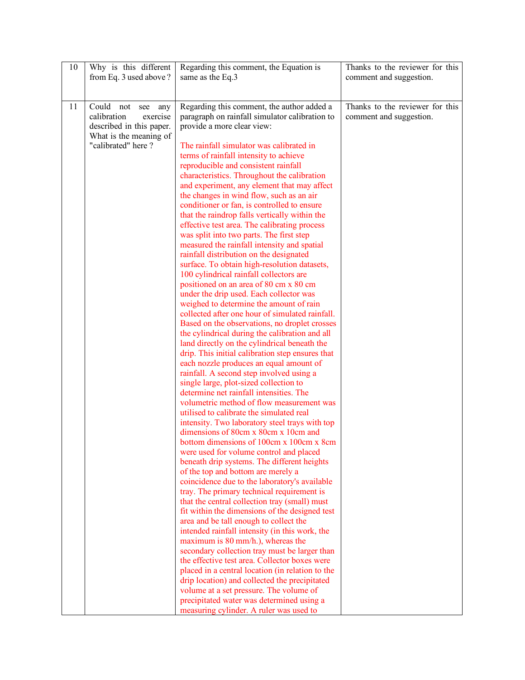| 10 | Why is this different<br>from Eq. 3 used above?                                                                                   | Regarding this comment, the Equation is<br>same as the Eq.3                                                                                                                                                                                                                                                                                                                                                                                                                                                                                                                                                                                                                                                                                                                                                                                                                                                                                                                                                                                                                                                                                                                                                                                                                                                                                                                                                                                                                                                                                                                                                                                                                        | Thanks to the reviewer for this<br>comment and suggestion. |
|----|-----------------------------------------------------------------------------------------------------------------------------------|------------------------------------------------------------------------------------------------------------------------------------------------------------------------------------------------------------------------------------------------------------------------------------------------------------------------------------------------------------------------------------------------------------------------------------------------------------------------------------------------------------------------------------------------------------------------------------------------------------------------------------------------------------------------------------------------------------------------------------------------------------------------------------------------------------------------------------------------------------------------------------------------------------------------------------------------------------------------------------------------------------------------------------------------------------------------------------------------------------------------------------------------------------------------------------------------------------------------------------------------------------------------------------------------------------------------------------------------------------------------------------------------------------------------------------------------------------------------------------------------------------------------------------------------------------------------------------------------------------------------------------------------------------------------------------|------------------------------------------------------------|
| 11 | Could<br>not<br>see<br>any<br>calibration<br>exercise<br>described in this paper.<br>What is the meaning of<br>"calibrated" here? | Regarding this comment, the author added a<br>paragraph on rainfall simulator calibration to<br>provide a more clear view:<br>The rainfall simulator was calibrated in<br>terms of rainfall intensity to achieve<br>reproducible and consistent rainfall<br>characteristics. Throughout the calibration<br>and experiment, any element that may affect<br>the changes in wind flow, such as an air<br>conditioner or fan, is controlled to ensure<br>that the raindrop falls vertically within the<br>effective test area. The calibrating process<br>was split into two parts. The first step<br>measured the rainfall intensity and spatial<br>rainfall distribution on the designated<br>surface. To obtain high-resolution datasets,<br>100 cylindrical rainfall collectors are<br>positioned on an area of 80 cm x 80 cm<br>under the drip used. Each collector was<br>weighed to determine the amount of rain<br>collected after one hour of simulated rainfall.<br>Based on the observations, no droplet crosses<br>the cylindrical during the calibration and all<br>land directly on the cylindrical beneath the<br>drip. This initial calibration step ensures that<br>each nozzle produces an equal amount of<br>rainfall. A second step involved using a<br>single large, plot-sized collection to<br>determine net rainfall intensities. The<br>volumetric method of flow measurement was<br>utilised to calibrate the simulated real<br>intensity. Two laboratory steel trays with top<br>dimensions of 80cm x 80cm x 10cm and<br>bottom dimensions of 100cm x 100cm x 8cm<br>were used for volume control and placed<br>beneath drip systems. The different heights | Thanks to the reviewer for this<br>comment and suggestion. |
|    |                                                                                                                                   | of the top and bottom are merely a<br>coincidence due to the laboratory's available<br>tray. The primary technical requirement is<br>that the central collection tray (small) must<br>fit within the dimensions of the designed test                                                                                                                                                                                                                                                                                                                                                                                                                                                                                                                                                                                                                                                                                                                                                                                                                                                                                                                                                                                                                                                                                                                                                                                                                                                                                                                                                                                                                                               |                                                            |
|    |                                                                                                                                   | area and be tall enough to collect the<br>intended rainfall intensity (in this work, the<br>maximum is 80 mm/h.), whereas the<br>secondary collection tray must be larger than<br>the effective test area. Collector boxes were<br>placed in a central location (in relation to the<br>drip location) and collected the precipitated<br>volume at a set pressure. The volume of<br>precipitated water was determined using a                                                                                                                                                                                                                                                                                                                                                                                                                                                                                                                                                                                                                                                                                                                                                                                                                                                                                                                                                                                                                                                                                                                                                                                                                                                       |                                                            |
|    |                                                                                                                                   | measuring cylinder. A ruler was used to                                                                                                                                                                                                                                                                                                                                                                                                                                                                                                                                                                                                                                                                                                                                                                                                                                                                                                                                                                                                                                                                                                                                                                                                                                                                                                                                                                                                                                                                                                                                                                                                                                            |                                                            |